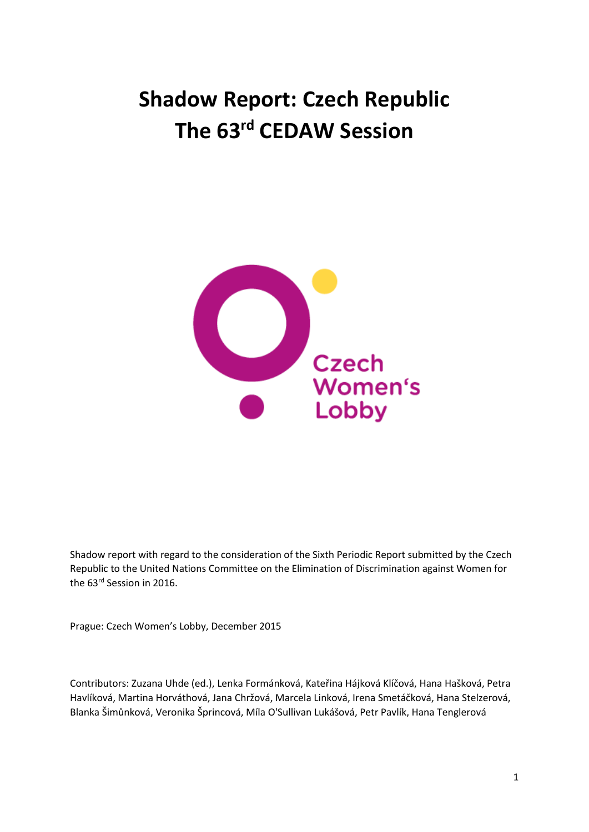# **Shadow Report: Czech Republic The 63rd CEDAW Session**



Shadow report with regard to the consideration of the Sixth Periodic Report submitted by the Czech Republic to the United Nations Committee on the Elimination of Discrimination against Women for the 63<sup>rd</sup> Session in 2016.

Prague: Czech Women's Lobby, December 2015

Contributors: Zuzana Uhde (ed.), Lenka Formánková, Kateřina Hájková Klíčová, Hana Hašková, Petra Havlíková, Martina Horváthová, Jana Chržová, Marcela Linková, Irena Smetáčková, Hana Stelzerová, Blanka Šimůnková, Veronika Šprincová, Míla O'Sullivan Lukášová, Petr Pavlík, Hana Tenglerová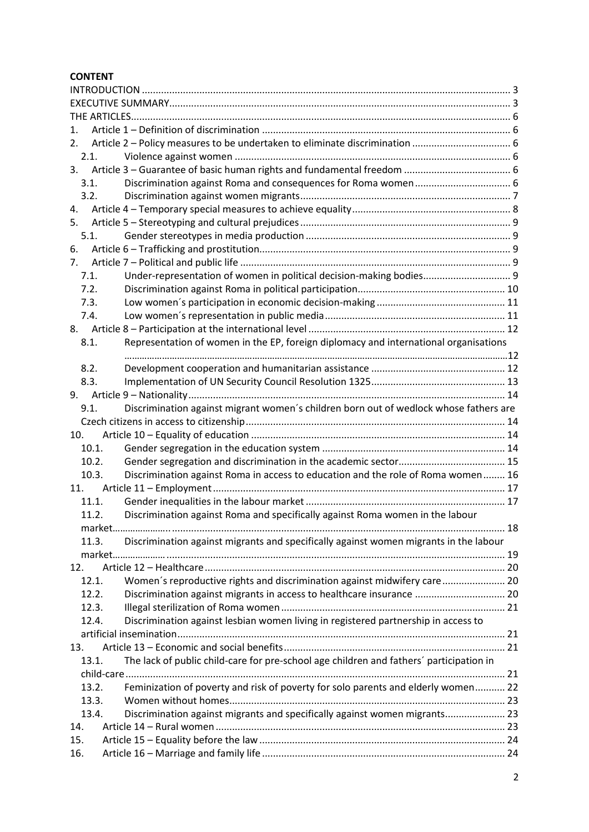## **CONTENT**

| 1.                                                                                             |                                                                                         |  |
|------------------------------------------------------------------------------------------------|-----------------------------------------------------------------------------------------|--|
| 2.                                                                                             |                                                                                         |  |
| 2.1.                                                                                           |                                                                                         |  |
| 3.                                                                                             |                                                                                         |  |
| 3.1.                                                                                           |                                                                                         |  |
| 3.2.                                                                                           |                                                                                         |  |
| 4.                                                                                             |                                                                                         |  |
| 5.                                                                                             |                                                                                         |  |
| 5.1.                                                                                           |                                                                                         |  |
| 6.                                                                                             |                                                                                         |  |
| 7.                                                                                             |                                                                                         |  |
| 7.1.                                                                                           | Under-representation of women in political decision-making bodies 9                     |  |
| 7.2.                                                                                           |                                                                                         |  |
| 7.3.                                                                                           |                                                                                         |  |
| 7.4.                                                                                           |                                                                                         |  |
|                                                                                                |                                                                                         |  |
| 8.1.                                                                                           | Representation of women in the EP, foreign diplomacy and international organisations    |  |
|                                                                                                |                                                                                         |  |
| 8.2.                                                                                           |                                                                                         |  |
| 8.3.                                                                                           |                                                                                         |  |
| 9.                                                                                             |                                                                                         |  |
| 9.1.                                                                                           | Discrimination against migrant women's children born out of wedlock whose fathers are   |  |
|                                                                                                |                                                                                         |  |
| 10.                                                                                            |                                                                                         |  |
| 10.1.                                                                                          |                                                                                         |  |
| 10.2.                                                                                          |                                                                                         |  |
| 10.3.                                                                                          | Discrimination against Roma in access to education and the role of Roma women 16        |  |
| 11.                                                                                            |                                                                                         |  |
| 11.1.                                                                                          |                                                                                         |  |
| 11.2.                                                                                          | Discrimination against Roma and specifically against Roma women in the labour           |  |
|                                                                                                |                                                                                         |  |
| Discrimination against migrants and specifically against women migrants in the labour<br>11.3. |                                                                                         |  |
|                                                                                                |                                                                                         |  |
| 12.                                                                                            |                                                                                         |  |
| 12.1.                                                                                          | Women's reproductive rights and discrimination against midwifery care 20                |  |
| 12.2.                                                                                          | Discrimination against migrants in access to healthcare insurance  20                   |  |
| 12.3.                                                                                          |                                                                                         |  |
| 12.4.                                                                                          | Discrimination against lesbian women living in registered partnership in access to      |  |
|                                                                                                |                                                                                         |  |
| 13.                                                                                            |                                                                                         |  |
| 13.1.                                                                                          | The lack of public child-care for pre-school age children and fathers' participation in |  |
|                                                                                                |                                                                                         |  |
| 13.2.                                                                                          | Feminization of poverty and risk of poverty for solo parents and elderly women 22       |  |
| 13.3.                                                                                          |                                                                                         |  |
| 13.4.                                                                                          | Discrimination against migrants and specifically against women migrants 23              |  |
| 14.                                                                                            |                                                                                         |  |
| 15.                                                                                            |                                                                                         |  |
| 16.                                                                                            |                                                                                         |  |
|                                                                                                |                                                                                         |  |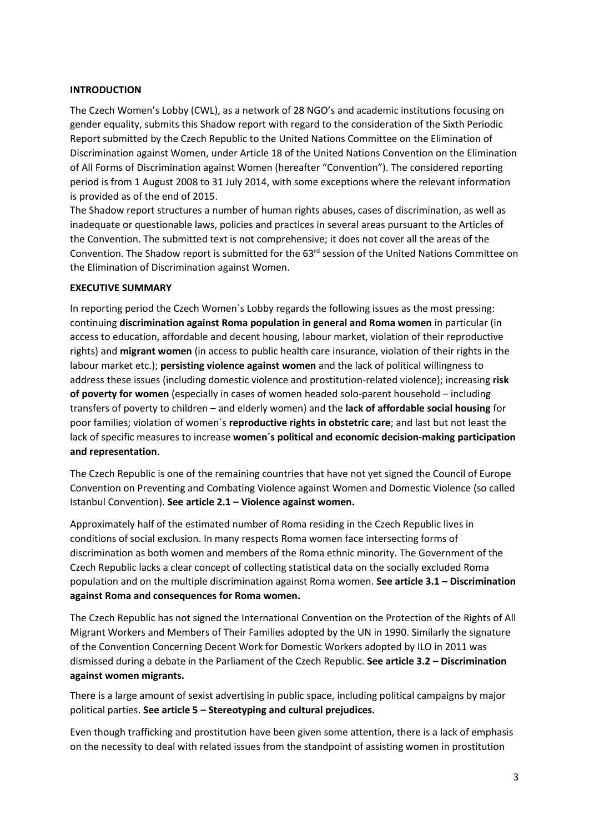#### <span id="page-2-0"></span>**INTRODUCTION**

The Czech Women's Lobby (CWL), as a network of 28 NGO's and academic institutions focusing on gender equality, submits this Shadow report with regard to the consideration of the Sixth Periodic Report submitted by the Czech Republic to the United Nations Committee on the Elimination of Discrimination against Women, under Article 18 of the United Nations Convention on the Elimination of All Forms of Discrimination against Women (hereafter "Convention"). The considered reporting period is from 1 August 2008 to 31 July 2014, with some exceptions where the relevant information is provided as of the end of 2015.

The Shadow report structures a number of human rights abuses, cases of discrimination, as well as inadequate or questionable laws, policies and practices in several areas pursuant to the Articles of the Convention. The submitted text is not comprehensive; it does not cover all the areas of the Convention. The Shadow report is submitted for the 63<sup>rd</sup> session of the United Nations Committee on the Elimination of Discrimination against Women.

#### <span id="page-2-1"></span>**EXECUTIVE SUMMARY**

In reporting period the Czech Women´s Lobby regards the following issues as the most pressing: continuing **discrimination against Roma population in general and Roma women** in particular (in access to education, affordable and decent housing, labour market, violation of their reproductive rights) and **migrant women** (in access to public health care insurance, violation of their rights in the labour market etc.); **persisting violence against women** and the lack of political willingness to address these issues (including domestic violence and prostitution-related violence); increasing **risk of poverty for women** (especially in cases of women headed solo-parent household – including transfers of poverty to children – and elderly women) and the **lack of affordable social housing** for poor families; violation of women´s **reproductive rights in obstetric care**; and last but not least the lack of specific measures to increase **women´s political and economic decision-making participation and representation**.

The Czech Republic is one of the remaining countries that have not yet signed the Council of Europe Convention on Preventing and Combating Violence against Women and Domestic Violence (so called Istanbul Convention). **See article 2.1 – Violence against women.**

Approximately half of the estimated number of Roma residing in the Czech Republic lives in conditions of social exclusion. In many respects Roma women face intersecting forms of discrimination as both women and members of the Roma ethnic minority. The Government of the Czech Republic lacks a clear concept of collecting statistical data on the socially excluded Roma population and on the multiple discrimination against Roma women. **See article 3.1 – Discrimination against Roma and consequences for Roma women.**

The Czech Republic has not signed the International Convention on the Protection of the Rights of All Migrant Workers and Members of Their Families adopted by the UN in 1990. Similarly the signature of the Convention Concerning Decent Work for Domestic Workers adopted by ILO in 2011 was dismissed during a debate in the Parliament of the Czech Republic. **See article 3.2 – Discrimination against women migrants.**

There is a large amount of sexist advertising in public space, including political campaigns by major political parties. **See article 5 – Stereotyping and cultural prejudices.**

Even though trafficking and prostitution have been given some attention, there is a lack of emphasis on the necessity to deal with related issues from the standpoint of assisting women in prostitution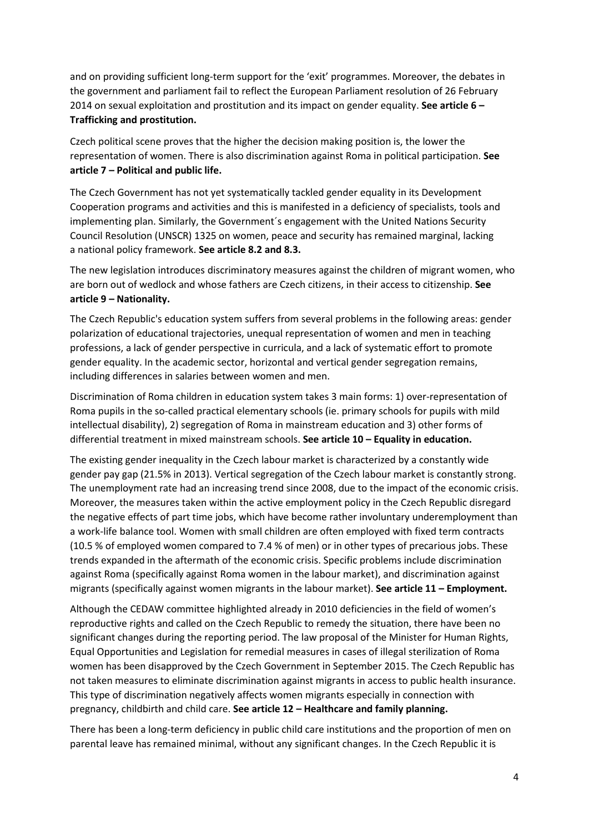and on providing sufficient long-term support for the 'exit' programmes. Moreover, the debates in the government and parliament fail to reflect the European Parliament resolution of 26 February 2014 on sexual exploitation and prostitution and its impact on gender equality. **See article 6 – Trafficking and prostitution.**

Czech political scene proves that the higher the decision making position is, the lower the representation of women. There is also discrimination against Roma in political participation. **See article 7 – Political and public life.**

The Czech Government has not yet systematically tackled gender equality in its Development Cooperation programs and activities and this is manifested in a deficiency of specialists, tools and implementing plan. Similarly, the Government´s engagement with the United Nations Security Council Resolution (UNSCR) 1325 on women, peace and security has remained marginal, lacking a national policy framework. **See article 8.2 and 8.3.**

The new legislation introduces discriminatory measures against the children of migrant women, who are born out of wedlock and whose fathers are Czech citizens, in their access to citizenship. **See article 9 – Nationality.**

The Czech Republic's education system suffers from several problems in the following areas: gender polarization of educational trajectories, unequal representation of women and men in teaching professions, a lack of gender perspective in curricula, and a lack of systematic effort to promote gender equality. In the academic sector, horizontal and vertical gender segregation remains, including differences in salaries between women and men.

Discrimination of Roma children in education system takes 3 main forms: 1) over-representation of Roma pupils in the so-called practical elementary schools (ie. primary schools for pupils with mild intellectual disability), 2) segregation of Roma in mainstream education and 3) other forms of differential treatment in mixed mainstream schools. **See article 10 – Equality in education.**

The existing gender inequality in the Czech labour market is characterized by a constantly wide gender pay gap (21.5% in 2013). Vertical segregation of the Czech labour market is constantly strong. The unemployment rate had an increasing trend since 2008, due to the impact of the economic crisis. Moreover, the measures taken within the active employment policy in the Czech Republic disregard the negative effects of part time jobs, which have become rather involuntary underemployment than a work-life balance tool. Women with small children are often employed with fixed term contracts (10.5 % of employed women compared to 7.4 % of men) or in other types of precarious jobs. These trends expanded in the aftermath of the economic crisis. Specific problems include discrimination against Roma (specifically against Roma women in the labour market), and discrimination against migrants (specifically against women migrants in the labour market). **See article 11 – Employment.**

Although the CEDAW committee highlighted already in 2010 deficiencies in the field of women's reproductive rights and called on the Czech Republic to remedy the situation, there have been no significant changes during the reporting period. The law proposal of the Minister for Human Rights, Equal Opportunities and Legislation for remedial measures in cases of illegal sterilization of Roma women has been disapproved by the Czech Government in September 2015. The Czech Republic has not taken measures to eliminate discrimination against migrants in access to public health insurance. This type of discrimination negatively affects women migrants especially in connection with pregnancy, childbirth and child care. **See article 12 – Healthcare and family planning.**

There has been a long-term deficiency in public child care institutions and the proportion of men on parental leave has remained minimal, without any significant changes. In the Czech Republic it is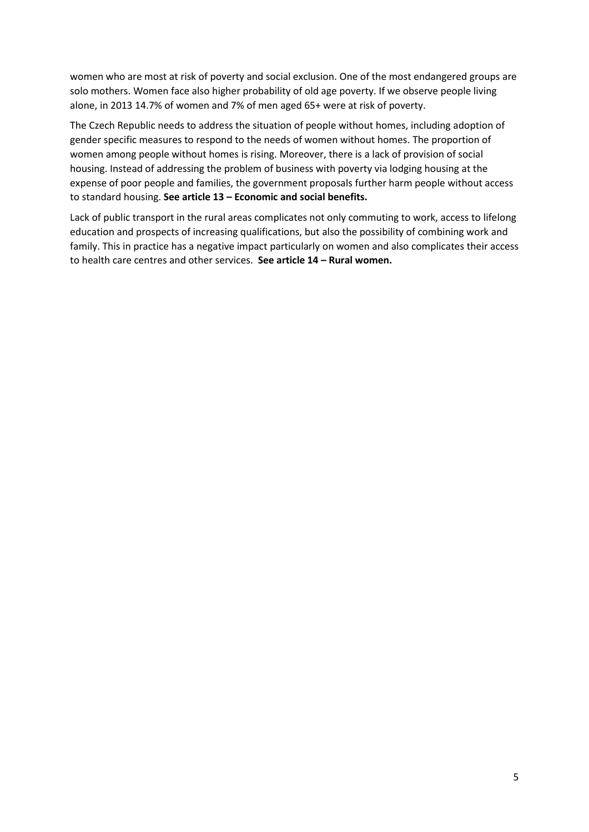women who are most at risk of poverty and social exclusion. One of the most endangered groups are solo mothers. Women face also higher probability of old age poverty. If we observe people living alone, in 2013 14.7% of women and 7% of men aged 65+ were at risk of poverty.

The Czech Republic needs to address the situation of people without homes, including adoption of gender specific measures to respond to the needs of women without homes. The proportion of women among people without homes is rising. Moreover, there is a lack of provision of social housing. Instead of addressing the problem of business with poverty via lodging housing at the expense of poor people and families, the government proposals further harm people without access to standard housing. **See article 13 – Economic and social benefits.**

Lack of public transport in the rural areas complicates not only commuting to work, access to lifelong education and prospects of increasing qualifications, but also the possibility of combining work and family. This in practice has a negative impact particularly on women and also complicates their access to health care centres and other services. **See article 14 – Rural women.**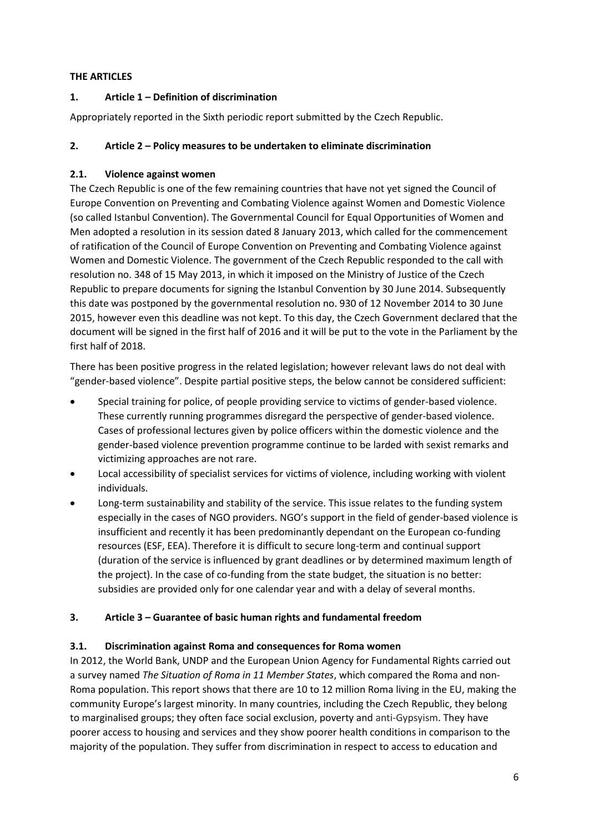## <span id="page-5-0"></span>**THE ARTICLES**

## <span id="page-5-1"></span>**1. Article 1 – Definition of discrimination**

Appropriately reported in the Sixth periodic report submitted by the Czech Republic.

## <span id="page-5-2"></span>**2. Article 2 – Policy measures to be undertaken to eliminate discrimination**

## <span id="page-5-3"></span>**2.1. Violence against women**

The Czech Republic is one of the few remaining countries that have not yet signed the Council of Europe Convention on Preventing and Combating Violence against Women and Domestic Violence (so called Istanbul Convention). The Governmental Council for Equal Opportunities of Women and Men adopted a resolution in its session dated 8 January 2013, which called for the commencement of ratification of the Council of Europe Convention on Preventing and Combating Violence against Women and Domestic Violence. The government of the Czech Republic responded to the call with resolution no. 348 of 15 May 2013, in which it imposed on the Ministry of Justice of the Czech Republic to prepare documents for signing the Istanbul Convention by 30 June 2014. Subsequently this date was postponed by the governmental resolution no. 930 of 12 November 2014 to 30 June 2015, however even this deadline was not kept. To this day, the Czech Government declared that the document will be signed in the first half of 2016 and it will be put to the vote in the Parliament by the first half of 2018.

There has been positive progress in the related legislation; however relevant laws do not deal with "gender-based violence". Despite partial positive steps, the below cannot be considered sufficient:

- Special training for police, of people providing service to victims of gender-based violence. These currently running programmes disregard the perspective of gender-based violence. Cases of professional lectures given by police officers within the domestic violence and the gender-based violence prevention programme continue to be larded with sexist remarks and victimizing approaches are not rare.
- Local accessibility of specialist services for victims of violence, including working with violent individuals.
- Long-term sustainability and stability of the service. This issue relates to the funding system especially in the cases of NGO providers. NGO's support in the field of gender-based violence is insufficient and recently it has been predominantly dependant on the European co-funding resources (ESF, EEA). Therefore it is difficult to secure long-term and continual support (duration of the service is influenced by grant deadlines or by determined maximum length of the project). In the case of co-funding from the state budget, the situation is no better: subsidies are provided only for one calendar year and with a delay of several months.

## <span id="page-5-4"></span>**3. Article 3 – Guarantee of basic human rights and fundamental freedom**

#### <span id="page-5-5"></span>**3.1. Discrimination against Roma and consequences for Roma women**

In 2012, the World Bank, UNDP and the European Union Agency for Fundamental Rights carried out a survey named *The Situation of Roma in 11 Member States*, which compared the Roma and non-Roma population. This report shows that there are 10 to 12 million Roma living in the EU, making the community Europe's largest minority. In many countries, including the Czech Republic, they belong to marginalised groups; they often face social exclusion, poverty and anti-Gypsyism. They have poorer access to housing and services and they show poorer health conditions in comparison to the majority of the population. They suffer from discrimination in respect to access to education and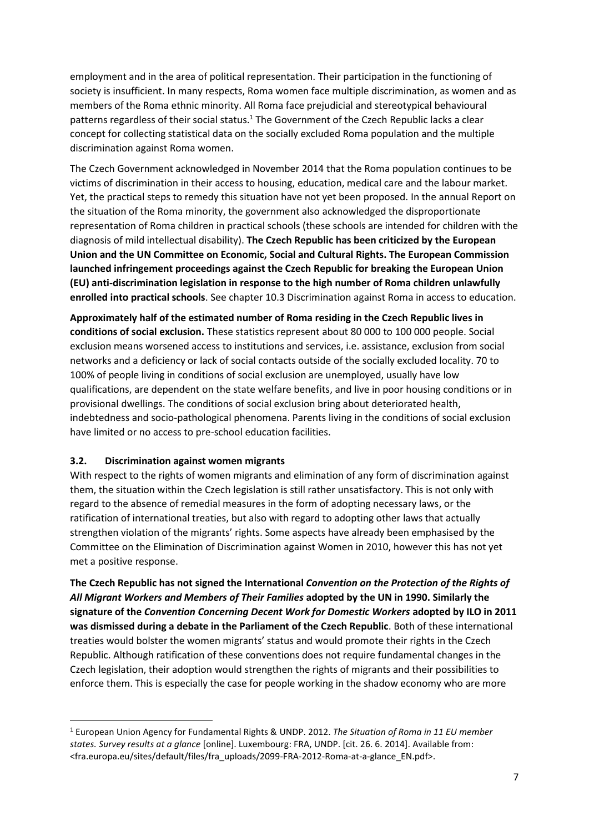employment and in the area of political representation. Their participation in the functioning of society is insufficient. In many respects, Roma women face multiple discrimination, as women and as members of the Roma ethnic minority. All Roma face prejudicial and stereotypical behavioural patterns regardless of their social status.<sup>1</sup> The Government of the Czech Republic lacks a clear concept for collecting statistical data on the socially excluded Roma population and the multiple discrimination against Roma women.

The Czech Government acknowledged in November 2014 that the Roma population continues to be victims of discrimination in their access to housing, education, medical care and the labour market. Yet, the practical steps to remedy this situation have not yet been proposed. In the annual Report on the situation of the Roma minority, the government also acknowledged the disproportionate representation of Roma children in practical schools (these schools are intended for children with the diagnosis of mild intellectual disability). **The Czech Republic has been criticized by the European Union and the UN Committee on Economic, Social and Cultural Rights. The European Commission launched infringement proceedings against the Czech Republic for breaking the European Union (EU) anti-discrimination legislation in response to the high number of Roma children unlawfully enrolled into practical schools**. See chapter 10.3 Discrimination against Roma in access to education.

**Approximately half of the estimated number of Roma residing in the Czech Republic lives in conditions of social exclusion.** These statistics represent about 80 000 to 100 000 people. Social exclusion means worsened access to institutions and services, i.e. assistance, exclusion from social networks and a deficiency or lack of social contacts outside of the socially excluded locality. 70 to 100% of people living in conditions of social exclusion are unemployed, usually have low qualifications, are dependent on the state welfare benefits, and live in poor housing conditions or in provisional dwellings. The conditions of social exclusion bring about deteriorated health, indebtedness and socio-pathological phenomena. Parents living in the conditions of social exclusion have limited or no access to pre-school education facilities.

#### <span id="page-6-0"></span>**3.2. Discrimination against women migrants**

**.** 

With respect to the rights of women migrants and elimination of any form of discrimination against them, the situation within the Czech legislation is still rather unsatisfactory. This is not only with regard to the absence of remedial measures in the form of adopting necessary laws, or the ratification of international treaties, but also with regard to adopting other laws that actually strengthen violation of the migrants' rights. Some aspects have already been emphasised by the Committee on the Elimination of Discrimination against Women in 2010, however this has not yet met a positive response.

**The Czech Republic has not signed the International** *Convention on the Protection of the Rights of All Migrant Workers and Members of Their Families* **adopted by the UN in 1990. Similarly the signature of the** *Convention Concerning Decent Work for Domestic Workers* **adopted by ILO in 2011 was dismissed during a debate in the Parliament of the Czech Republic**. Both of these international treaties would bolster the women migrants' status and would promote their rights in the Czech Republic. Although ratification of these conventions does not require fundamental changes in the Czech legislation, their adoption would strengthen the rights of migrants and their possibilities to enforce them. This is especially the case for people working in the shadow economy who are more

<sup>1</sup> European Union Agency for Fundamental Rights & UNDP. 2012. *The Situation of Roma in 11 EU member states. Survey results at a glance* [online]. Luxembourg: FRA, UNDP. [cit. 26. 6. 2014]. Available from: <fra.europa.eu/sites/default/files/fra\_uploads/2099-FRA-2012-Roma-at-a-glance\_EN.pdf>.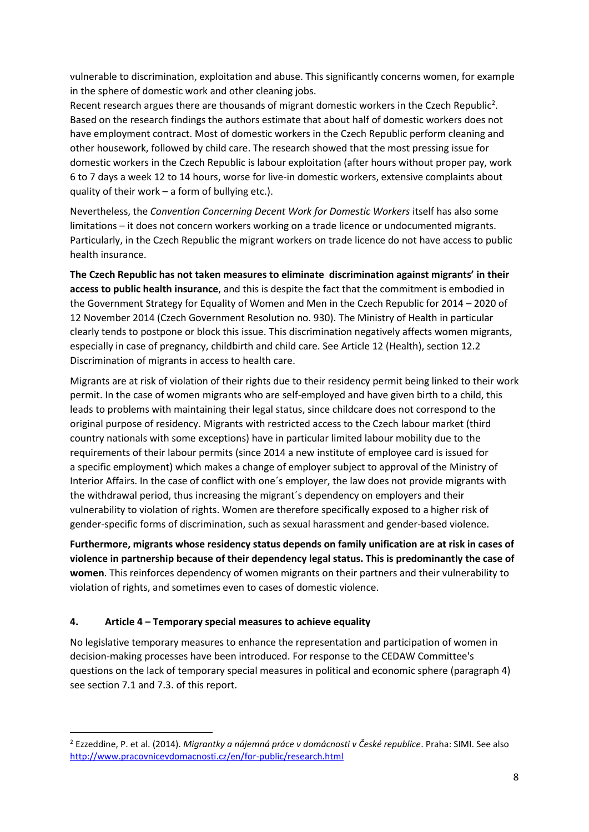vulnerable to discrimination, exploitation and abuse. This significantly concerns women, for example in the sphere of domestic work and other cleaning jobs.

Recent research argues there are thousands of migrant domestic workers in the Czech Republic<sup>2</sup>. Based on the research findings the authors estimate that about half of domestic workers does not have employment contract. Most of domestic workers in the Czech Republic perform cleaning and other housework, followed by child care. The research showed that the most pressing issue for domestic workers in the Czech Republic is labour exploitation (after hours without proper pay, work 6 to 7 days a week 12 to 14 hours, worse for live-in domestic workers, extensive complaints about quality of their work – a form of bullying etc.).

Nevertheless, the *Convention Concerning Decent Work for Domestic Workers* itself has also some limitations – it does not concern workers working on a trade licence or undocumented migrants. Particularly, in the Czech Republic the migrant workers on trade licence do not have access to public health insurance.

**The Czech Republic has not taken measures to eliminate discrimination against migrants' in their access to public health insurance**, and this is despite the fact that the commitment is embodied in the Government Strategy for Equality of Women and Men in the Czech Republic for 2014 – 2020 of 12 November 2014 (Czech Government Resolution no. 930). The Ministry of Health in particular clearly tends to postpone or block this issue. This discrimination negatively affects women migrants, especially in case of pregnancy, childbirth and child care. See Article 12 (Health), section 12.2 Discrimination of migrants in access to health care.

Migrants are at risk of violation of their rights due to their residency permit being linked to their work permit. In the case of women migrants who are self-employed and have given birth to a child, this leads to problems with maintaining their legal status, since childcare does not correspond to the original purpose of residency. Migrants with restricted access to the Czech labour market (third country nationals with some exceptions) have in particular limited labour mobility due to the requirements of their labour permits (since 2014 a new institute of employee card is issued for a specific employment) which makes a change of employer subject to approval of the Ministry of Interior Affairs. In the case of conflict with one´s employer, the law does not provide migrants with the withdrawal period, thus increasing the migrant´s dependency on employers and their vulnerability to violation of rights. Women are therefore specifically exposed to a higher risk of gender-specific forms of discrimination, such as sexual harassment and gender-based violence.

**Furthermore, migrants whose residency status depends on family unification are at risk in cases of violence in partnership because of their dependency legal status. This is predominantly the case of women**. This reinforces dependency of women migrants on their partners and their vulnerability to violation of rights, and sometimes even to cases of domestic violence.

#### <span id="page-7-0"></span>**4. Article 4 – Temporary special measures to achieve equality**

1

No legislative temporary measures to enhance the representation and participation of women in decision-making processes have been introduced. For response to the CEDAW Committee's questions on the lack of temporary special measures in political and economic sphere (paragraph 4) see section 7.1 and 7.3. of this report.

<sup>2</sup> Ezzeddine, P. et al. (2014). *Migrantky a nájemná práce v domácnosti v České republice*. Praha: SIMI. See also <http://www.pracovnicevdomacnosti.cz/en/for-public/research.html>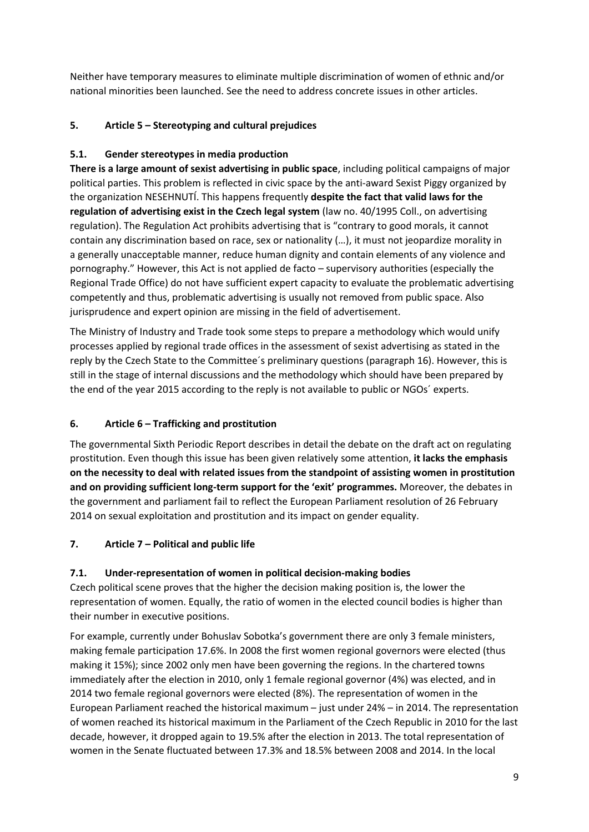Neither have temporary measures to eliminate multiple discrimination of women of ethnic and/or national minorities been launched. See the need to address concrete issues in other articles.

# <span id="page-8-0"></span>**5. Article 5 – Stereotyping and cultural prejudices**

## <span id="page-8-1"></span>**5.1. Gender stereotypes in media production**

**There is a large amount of sexist advertising in public space**, including political campaigns of major political parties. This problem is reflected in civic space by the anti-award Sexist Piggy organized by the organization NESEHNUTÍ. This happens frequently **despite the fact that valid laws for the regulation of advertising exist in the Czech legal system** (law no. 40/1995 Coll., on advertising regulation). The Regulation Act prohibits advertising that is "contrary to good morals, it cannot contain any discrimination based on race, sex or nationality (…), it must not jeopardize morality in a generally unacceptable manner, reduce human dignity and contain elements of any violence and pornography." However, this Act is not applied de facto – supervisory authorities (especially the Regional Trade Office) do not have sufficient expert capacity to evaluate the problematic advertising competently and thus, problematic advertising is usually not removed from public space. Also jurisprudence and expert opinion are missing in the field of advertisement.

The Ministry of Industry and Trade took some steps to prepare a methodology which would unify processes applied by regional trade offices in the assessment of sexist advertising as stated in the reply by the Czech State to the Committee´s preliminary questions (paragraph 16). However, this is still in the stage of internal discussions and the methodology which should have been prepared by the end of the year 2015 according to the reply is not available to public or NGOs´ experts.

## <span id="page-8-2"></span>**6. Article 6 – Trafficking and prostitution**

The governmental Sixth Periodic Report describes in detail the debate on the draft act on regulating prostitution. Even though this issue has been given relatively some attention, **it lacks the emphasis on the necessity to deal with related issues from the standpoint of assisting women in prostitution and on providing sufficient long-term support for the 'exit' programmes.** Moreover, the debates in the government and parliament fail to reflect the European Parliament resolution of 26 February 2014 on sexual exploitation and prostitution and its impact on gender equality.

## <span id="page-8-3"></span>**7. Article 7 – Political and public life**

## <span id="page-8-4"></span>**7.1. Under-representation of women in political decision-making bodies**

Czech political scene proves that the higher the decision making position is, the lower the representation of women. Equally, the ratio of women in the elected council bodies is higher than their number in executive positions.

For example, currently under Bohuslav Sobotka's government there are only 3 female ministers, making female participation 17.6%. In 2008 the first women regional governors were elected (thus making it 15%); since 2002 only men have been governing the regions. In the chartered towns immediately after the election in 2010, only 1 female regional governor (4%) was elected, and in 2014 two female regional governors were elected (8%). The representation of women in the European Parliament reached the historical maximum – just under 24% – in 2014. The representation of women reached its historical maximum in the Parliament of the Czech Republic in 2010 for the last decade, however, it dropped again to 19.5% after the election in 2013. The total representation of women in the Senate fluctuated between 17.3% and 18.5% between 2008 and 2014. In the local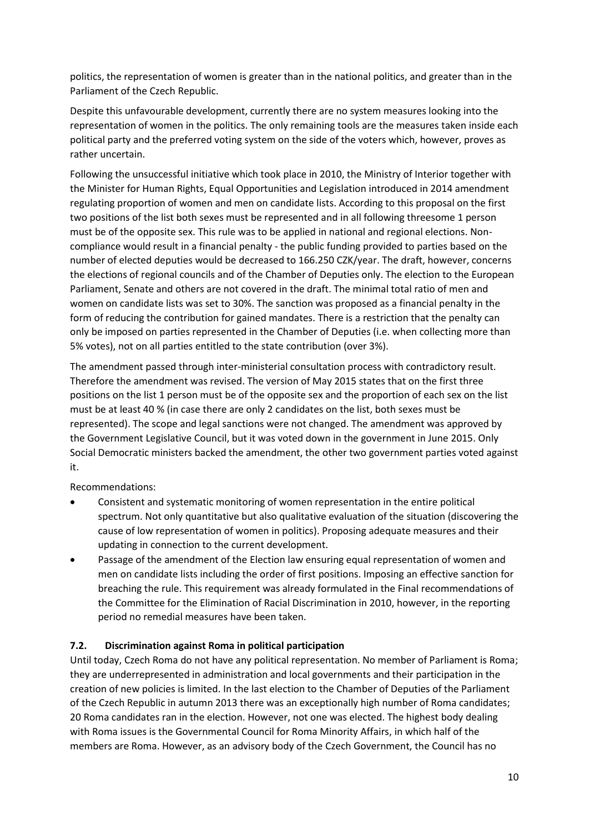politics, the representation of women is greater than in the national politics, and greater than in the Parliament of the Czech Republic.

Despite this unfavourable development, currently there are no system measures looking into the representation of women in the politics. The only remaining tools are the measures taken inside each political party and the preferred voting system on the side of the voters which, however, proves as rather uncertain.

Following the unsuccessful initiative which took place in 2010, the Ministry of Interior together with the Minister for Human Rights, Equal Opportunities and Legislation introduced in 2014 amendment regulating proportion of women and men on candidate lists. According to this proposal on the first two positions of the list both sexes must be represented and in all following threesome 1 person must be of the opposite sex. This rule was to be applied in national and regional elections. Noncompliance would result in a financial penalty - the public funding provided to parties based on the number of elected deputies would be decreased to 166.250 CZK/year. The draft, however, concerns the elections of regional councils and of the Chamber of Deputies only. The election to the European Parliament, Senate and others are not covered in the draft. The minimal total ratio of men and women on candidate lists was set to 30%. The sanction was proposed as a financial penalty in the form of reducing the contribution for gained mandates. There is a restriction that the penalty can only be imposed on parties represented in the Chamber of Deputies (i.e. when collecting more than 5% votes), not on all parties entitled to the state contribution (over 3%).

The amendment passed through inter-ministerial consultation process with contradictory result. Therefore the amendment was revised. The version of May 2015 states that on the first three positions on the list 1 person must be of the opposite sex and the proportion of each sex on the list must be at least 40 % (in case there are only 2 candidates on the list, both sexes must be represented). The scope and legal sanctions were not changed. The amendment was approved by the Government Legislative Council, but it was voted down in the government in June 2015. Only Social Democratic ministers backed the amendment, the other two government parties voted against it.

Recommendations:

- Consistent and systematic monitoring of women representation in the entire political spectrum. Not only quantitative but also qualitative evaluation of the situation (discovering the cause of low representation of women in politics). Proposing adequate measures and their updating in connection to the current development.
- Passage of the amendment of the Election law ensuring equal representation of women and men on candidate lists including the order of first positions. Imposing an effective sanction for breaching the rule. This requirement was already formulated in the Final recommendations of the Committee for the Elimination of Racial Discrimination in 2010, however, in the reporting period no remedial measures have been taken.

## <span id="page-9-0"></span>**7.2. Discrimination against Roma in political participation**

Until today, Czech Roma do not have any political representation. No member of Parliament is Roma; they are underrepresented in administration and local governments and their participation in the creation of new policies is limited. In the last election to the Chamber of Deputies of the Parliament of the Czech Republic in autumn 2013 there was an exceptionally high number of Roma candidates; 20 Roma candidates ran in the election. However, not one was elected. The highest body dealing with Roma issues is the Governmental Council for Roma Minority Affairs, in which half of the members are Roma. However, as an advisory body of the Czech Government, the Council has no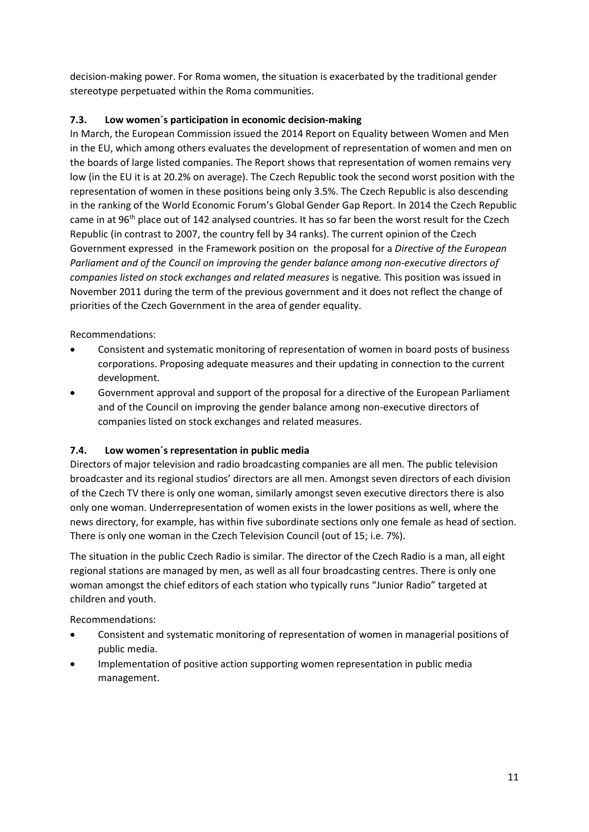decision-making power. For Roma women, the situation is exacerbated by the traditional gender stereotype perpetuated within the Roma communities.

# <span id="page-10-0"></span>**7.3. Low women´s participation in economic decision-making**

In March, the European Commission issued the 2014 Report on Equality between Women and Men in the EU, which among others evaluates the development of representation of women and men on the boards of large listed companies. The Report shows that representation of women remains very low (in the EU it is at 20.2% on average). The Czech Republic took the second worst position with the representation of women in these positions being only 3.5%. The Czech Republic is also descending in the ranking of the World Economic Forum's Global Gender Gap Report. In 2014 the Czech Republic came in at 96th place out of 142 analysed countries. It has so far been the worst result for the Czech Republic (in contrast to 2007, the country fell by 34 ranks). The current opinion of the Czech Government expressed in the Framework position on the proposal for a *Directive of the European Parliament and of the Council on improving the gender balance among non-executive directors of companies listed on stock exchanges and related measures* is negative*.* This position was issued in November 2011 during the term of the previous government and it does not reflect the change of priorities of the Czech Government in the area of gender equality.

Recommendations:

- Consistent and systematic monitoring of representation of women in board posts of business corporations. Proposing adequate measures and their updating in connection to the current development.
- Government approval and support of the proposal for a directive of the European Parliament and of the Council on improving the gender balance among non-executive directors of companies listed on stock exchanges and related measures.

## <span id="page-10-1"></span>**7.4. Low women´s representation in public media**

Directors of major television and radio broadcasting companies are all men. The public television broadcaster and its regional studios' directors are all men. Amongst seven directors of each division of the Czech TV there is only one woman, similarly amongst seven executive directors there is also only one woman. Underrepresentation of women exists in the lower positions as well, where the news directory, for example, has within five subordinate sections only one female as head of section. There is only one woman in the Czech Television Council (out of 15; i.e. 7%).

The situation in the public Czech Radio is similar. The director of the Czech Radio is a man, all eight regional stations are managed by men, as well as all four broadcasting centres. There is only one woman amongst the chief editors of each station who typically runs "Junior Radio" targeted at children and youth.

Recommendations:

- Consistent and systematic monitoring of representation of women in managerial positions of public media.
- <span id="page-10-2"></span> Implementation of positive action supporting women representation in public media management.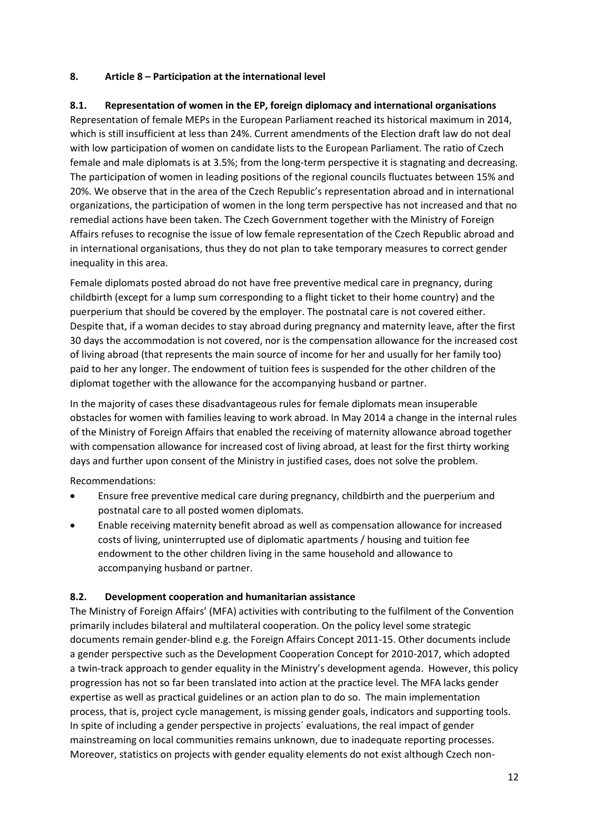#### **8. Article 8 – Participation at the international level**

## <span id="page-11-0"></span>**8.1. Representation of women in the EP, foreign diplomacy and international organisations**

Representation of female MEPs in the European Parliament reached its historical maximum in 2014, which is still insufficient at less than 24%. Current amendments of the Election draft law do not deal with low participation of women on candidate lists to the European Parliament. The ratio of Czech female and male diplomats is at 3.5%; from the long-term perspective it is stagnating and decreasing. The participation of women in leading positions of the regional councils fluctuates between 15% and 20%. We observe that in the area of the Czech Republic's representation abroad and in international organizations, the participation of women in the long term perspective has not increased and that no remedial actions have been taken. The Czech Government together with the Ministry of Foreign Affairs refuses to recognise the issue of low female representation of the Czech Republic abroad and in international organisations, thus they do not plan to take temporary measures to correct gender inequality in this area.

Female diplomats posted abroad do not have free preventive medical care in pregnancy, during childbirth (except for a lump sum corresponding to a flight ticket to their home country) and the puerperium that should be covered by the employer. The postnatal care is not covered either. Despite that, if a woman decides to stay abroad during pregnancy and maternity leave, after the first 30 days the accommodation is not covered, nor is the compensation allowance for the increased cost of living abroad (that represents the main source of income for her and usually for her family too) paid to her any longer. The endowment of tuition fees is suspended for the other children of the diplomat together with the allowance for the accompanying husband or partner.

In the majority of cases these disadvantageous rules for female diplomats mean insuperable obstacles for women with families leaving to work abroad. In May 2014 a change in the internal rules of the Ministry of Foreign Affairs that enabled the receiving of maternity allowance abroad together with compensation allowance for increased cost of living abroad, at least for the first thirty working days and further upon consent of the Ministry in justified cases, does not solve the problem.

Recommendations:

- Ensure free preventive medical care during pregnancy, childbirth and the puerperium and postnatal care to all posted women diplomats.
- Enable receiving maternity benefit abroad as well as compensation allowance for increased costs of living, uninterrupted use of diplomatic apartments / housing and tuition fee endowment to the other children living in the same household and allowance to accompanying husband or partner.

#### <span id="page-11-1"></span>**8.2. Development cooperation and humanitarian assistance**

The Ministry of Foreign Affairs' (MFA) activities with contributing to the fulfilment of the Convention primarily includes bilateral and multilateral cooperation. On the policy level some strategic documents remain gender-blind e.g. the Foreign Affairs Concept 2011-15. Other documents include a gender perspective such as the Development Cooperation Concept for 2010-2017, which adopted a twin-track approach to gender equality in the Ministry's development agenda. However, this policy progression has not so far been translated into action at the practice level. The MFA lacks gender expertise as well as practical guidelines or an action plan to do so. The main implementation process, that is, project cycle management, is missing gender goals, indicators and supporting tools. In spite of including a gender perspective in projects´ evaluations, the real impact of gender mainstreaming on local communities remains unknown, due to inadequate reporting processes. Moreover, statistics on projects with gender equality elements do not exist although Czech non-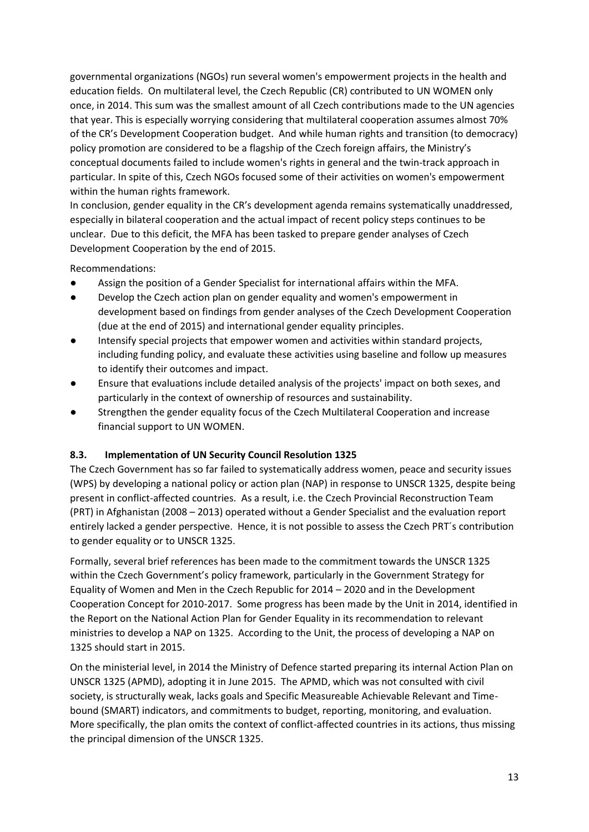governmental organizations (NGOs) run several women's empowerment projects in the health and education fields. On multilateral level, the Czech Republic (CR) contributed to UN WOMEN only once, in 2014. This sum was the smallest amount of all Czech contributions made to the UN agencies that year. This is especially worrying considering that multilateral cooperation assumes almost 70% of the CR's Development Cooperation budget. And while human rights and transition (to democracy) policy promotion are considered to be a flagship of the Czech foreign affairs, the Ministry's conceptual documents failed to include women's rights in general and the twin-track approach in particular. In spite of this, Czech NGOs focused some of their activities on women's empowerment within the human rights framework.

In conclusion, gender equality in the CR's development agenda remains systematically unaddressed, especially in bilateral cooperation and the actual impact of recent policy steps continues to be unclear. Due to this deficit, the MFA has been tasked to prepare gender analyses of Czech Development Cooperation by the end of 2015.

Recommendations:

- **●** Assign the position of a Gender Specialist for international affairs within the MFA.
- Develop the Czech action plan on gender equality and women's empowerment in development based on findings from gender analyses of the Czech Development Cooperation (due at the end of 2015) and international gender equality principles.
- Intensify special projects that empower women and activities within standard projects, including funding policy, and evaluate these activities using baseline and follow up measures to identify their outcomes and impact.
- Ensure that evaluations include detailed analysis of the projects' impact on both sexes, and particularly in the context of ownership of resources and sustainability.
- Strengthen the gender equality focus of the Czech Multilateral Cooperation and increase financial support to UN WOMEN.

## <span id="page-12-0"></span>**8.3. Implementation of UN Security Council Resolution 1325**

The Czech Government has so far failed to systematically address women, peace and security issues (WPS) by developing a national policy or action plan (NAP) in response to UNSCR 1325, despite being present in conflict-affected countries. As a result, i.e. the Czech Provincial Reconstruction Team (PRT) in Afghanistan (2008 – 2013) operated without a Gender Specialist and the evaluation report entirely lacked a gender perspective. Hence, it is not possible to assess the Czech PRT´s contribution to gender equality or to UNSCR 1325.

Formally, several brief references has been made to the commitment towards the UNSCR 1325 within the Czech Government's policy framework, particularly in the Government Strategy for Equality of Women and Men in the Czech Republic for 2014 – 2020 and in the Development Cooperation Concept for 2010-2017. Some progress has been made by the Unit in 2014, identified in the Report on the National Action Plan for Gender Equality in its recommendation to relevant ministries to develop a NAP on 1325. According to the Unit, the process of developing a NAP on 1325 should start in 2015.

On the ministerial level, in 2014 the Ministry of Defence started preparing its internal Action Plan on UNSCR 1325 (APMD), adopting it in June 2015. The APMD, which was not consulted with civil society, is structurally weak, lacks goals and Specific Measureable Achievable Relevant and Timebound (SMART) indicators, and commitments to budget, reporting, monitoring, and evaluation. More specifically, the plan omits the context of conflict-affected countries in its actions, thus missing the principal dimension of the UNSCR 1325.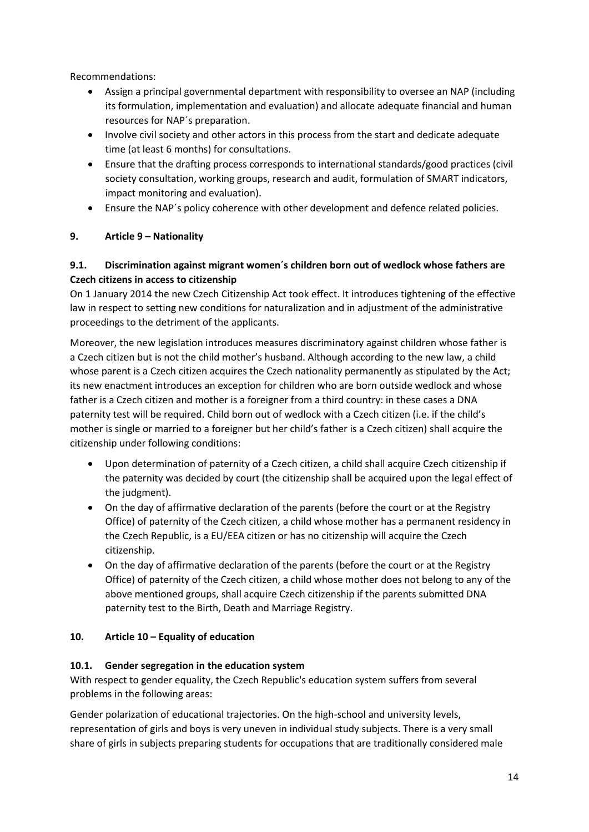Recommendations:

- Assign a principal governmental department with responsibility to oversee an NAP (including its formulation, implementation and evaluation) and allocate adequate financial and human resources for NAP´s preparation.
- Involve civil society and other actors in this process from the start and dedicate adequate time (at least 6 months) for consultations.
- Ensure that the drafting process corresponds to international standards/good practices (civil society consultation, working groups, research and audit, formulation of SMART indicators, impact monitoring and evaluation).
- Ensure the NAP´s policy coherence with other development and defence related policies.

# <span id="page-13-0"></span>**9. Article 9 – Nationality**

## <span id="page-13-1"></span>**9.1. Discrimination against migrant women´s children born out of wedlock whose fathers are Czech citizens in access to citizenship**

On 1 January 2014 the new Czech Citizenship Act took effect. It introduces tightening of the effective law in respect to setting new conditions for naturalization and in adjustment of the administrative proceedings to the detriment of the applicants.

Moreover, the new legislation introduces measures discriminatory against children whose father is a Czech citizen but is not the child mother's husband. Although according to the new law, a child whose parent is a Czech citizen acquires the Czech nationality permanently as stipulated by the Act; its new enactment introduces an exception for children who are born outside wedlock and whose father is a Czech citizen and mother is a foreigner from a third country: in these cases a DNA paternity test will be required. Child born out of wedlock with a Czech citizen (i.e. if the child's mother is single or married to a foreigner but her child's father is a Czech citizen) shall acquire the citizenship under following conditions:

- Upon determination of paternity of a Czech citizen, a child shall acquire Czech citizenship if the paternity was decided by court (the citizenship shall be acquired upon the legal effect of the judgment).
- On the day of affirmative declaration of the parents (before the court or at the Registry Office) of paternity of the Czech citizen, a child whose mother has a permanent residency in the Czech Republic, is a EU/EEA citizen or has no citizenship will acquire the Czech citizenship.
- On the day of affirmative declaration of the parents (before the court or at the Registry Office) of paternity of the Czech citizen, a child whose mother does not belong to any of the above mentioned groups, shall acquire Czech citizenship if the parents submitted DNA paternity test to the Birth, Death and Marriage Registry.

## <span id="page-13-2"></span>**10. Article 10 – Equality of education**

## <span id="page-13-3"></span>**10.1. Gender segregation in the education system**

With respect to gender equality, the Czech Republic's education system suffers from several problems in the following areas:

Gender polarization of educational trajectories. On the high-school and university levels, representation of girls and boys is very uneven in individual study subjects. There is a very small share of girls in subjects preparing students for occupations that are traditionally considered male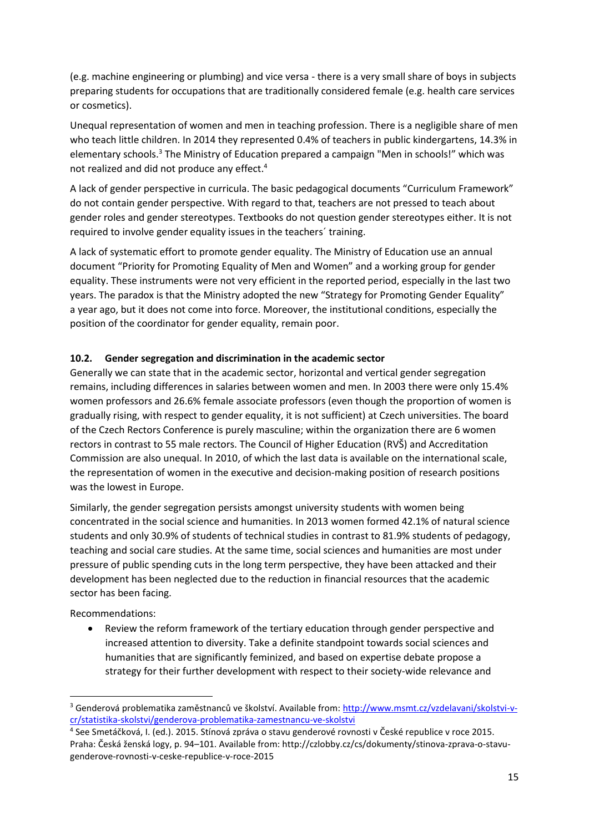(e.g. machine engineering or plumbing) and vice versa - there is a very small share of boys in subjects preparing students for occupations that are traditionally considered female (e.g. health care services or cosmetics).

Unequal representation of women and men in teaching profession. There is a negligible share of men who teach little children. In 2014 they represented 0.4% of teachers in public kindergartens, 14.3% in elementary schools.<sup>3</sup> The Ministry of Education prepared a campaign "Men in schools!" which was not realized and did not produce any effect.<sup>4</sup>

A lack of gender perspective in curricula. The basic pedagogical documents "Curriculum Framework" do not contain gender perspective. With regard to that, teachers are not pressed to teach about gender roles and gender stereotypes. Textbooks do not question gender stereotypes either. It is not required to involve gender equality issues in the teachers´ training.

A lack of systematic effort to promote gender equality. The Ministry of Education use an annual document "Priority for Promoting Equality of Men and Women" and a working group for gender equality. These instruments were not very efficient in the reported period, especially in the last two years. The paradox is that the Ministry adopted the new "Strategy for Promoting Gender Equality" a year ago, but it does not come into force. Moreover, the institutional conditions, especially the position of the coordinator for gender equality, remain poor.

#### <span id="page-14-0"></span>**10.2. Gender segregation and discrimination in the academic sector**

Generally we can state that in the academic sector, horizontal and vertical gender segregation remains, including differences in salaries between women and men. In 2003 there were only 15.4% women professors and 26.6% female associate professors (even though the proportion of women is gradually rising, with respect to gender equality, it is not sufficient) at Czech universities. The board of the Czech Rectors Conference is purely masculine; within the organization there are 6 women rectors in contrast to 55 male rectors. The Council of Higher Education (RVŠ) and Accreditation Commission are also unequal. In 2010, of which the last data is available on the international scale, the representation of women in the executive and decision-making position of research positions was the lowest in Europe.

Similarly, the gender segregation persists amongst university students with women being concentrated in the social science and humanities. In 2013 women formed 42.1% of natural science students and only 30.9% of students of technical studies in contrast to 81.9% students of pedagogy, teaching and social care studies. At the same time, social sciences and humanities are most under pressure of public spending cuts in the long term perspective, they have been attacked and their development has been neglected due to the reduction in financial resources that the academic sector has been facing.

Recommendations:

**.** 

 Review the reform framework of the tertiary education through gender perspective and increased attention to diversity. Take a definite standpoint towards social sciences and humanities that are significantly feminized, and based on expertise debate propose a strategy for their further development with respect to their society-wide relevance and

<sup>&</sup>lt;sup>3</sup> Genderová problematika zaměstnanců ve školství. Available from: [http://www.msmt.cz/vzdelavani/skolstvi-v](http://www.msmt.cz/vzdelavani/skolstvi-v-cr/statistika-skolstvi/genderova-problematika-zamestnancu-ve-skolstvi)[cr/statistika-skolstvi/genderova-problematika-zamestnancu-ve-skolstvi](http://www.msmt.cz/vzdelavani/skolstvi-v-cr/statistika-skolstvi/genderova-problematika-zamestnancu-ve-skolstvi)

<sup>4</sup> See Smetáčková, I. (ed.). 2015. Stínová zpráva o stavu genderové rovnosti v České republice v roce 2015. Praha: Česká ženská logy, p. 94–101. Available from: http://czlobby.cz/cs/dokumenty/stinova-zprava-o-stavugenderove-rovnosti-v-ceske-republice-v-roce-2015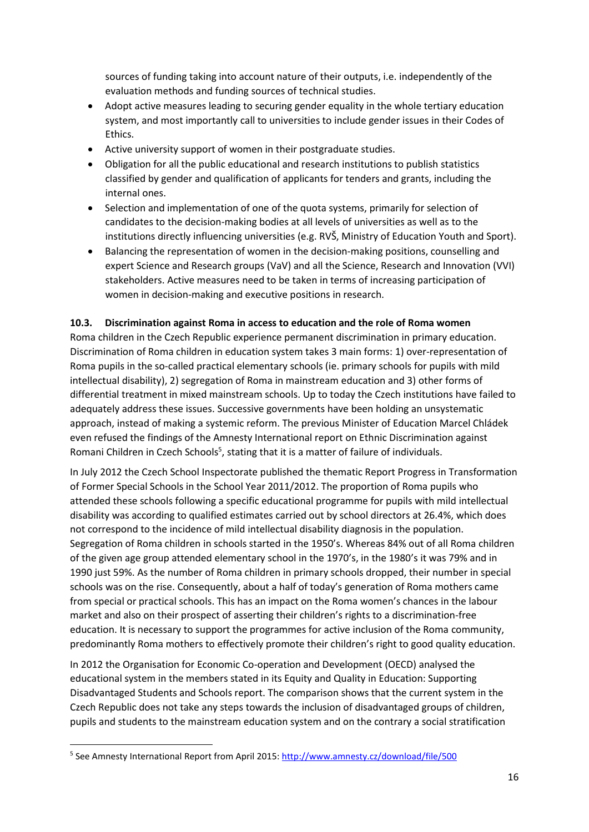sources of funding taking into account nature of their outputs, i.e. independently of the evaluation methods and funding sources of technical studies.

- Adopt active measures leading to securing gender equality in the whole tertiary education system, and most importantly call to universities to include gender issues in their Codes of Ethics.
- Active university support of women in their postgraduate studies.
- Obligation for all the public educational and research institutions to publish statistics classified by gender and qualification of applicants for tenders and grants, including the internal ones.
- Selection and implementation of one of the quota systems, primarily for selection of candidates to the decision-making bodies at all levels of universities as well as to the institutions directly influencing universities (e.g. RVŠ, Ministry of Education Youth and Sport).
- Balancing the representation of women in the decision-making positions, counselling and expert Science and Research groups (VaV) and all the Science, Research and Innovation (VVI) stakeholders. Active measures need to be taken in terms of increasing participation of women in decision-making and executive positions in research.

#### <span id="page-15-0"></span>**10.3. Discrimination against Roma in access to education and the role of Roma women**

Roma children in the Czech Republic experience permanent discrimination in primary education. Discrimination of Roma children in education system takes 3 main forms: 1) over-representation of Roma pupils in the so-called practical elementary schools (ie. primary schools for pupils with mild intellectual disability), 2) segregation of Roma in mainstream education and 3) other forms of differential treatment in mixed mainstream schools. Up to today the Czech institutions have failed to adequately address these issues. Successive governments have been holding an unsystematic approach, instead of making a systemic reform. The previous Minister of Education Marcel Chládek even refused the findings of the Amnesty International report on Ethnic Discrimination against Romani Children in Czech Schools<sup>5</sup>, stating that it is a matter of failure of individuals.

In July 2012 the Czech School Inspectorate published the thematic Report Progress in Transformation of Former Special Schools in the School Year 2011/2012. The proportion of Roma pupils who attended these schools following a specific educational programme for pupils with mild intellectual disability was according to qualified estimates carried out by school directors at 26.4%, which does not correspond to the incidence of mild intellectual disability diagnosis in the population. Segregation of Roma children in schools started in the 1950's. Whereas 84% out of all Roma children of the given age group attended elementary school in the 1970's, in the 1980's it was 79% and in 1990 just 59%. As the number of Roma children in primary schools dropped, their number in special schools was on the rise. Consequently, about a half of today's generation of Roma mothers came from special or practical schools. This has an impact on the Roma women's chances in the labour market and also on their prospect of asserting their children's rights to a discrimination-free education. It is necessary to support the programmes for active inclusion of the Roma community, predominantly Roma mothers to effectively promote their children's right to good quality education.

In 2012 the Organisation for Economic Co-operation and Development (OECD) analysed the educational system in the members stated in its Equity and Quality in Education: Supporting Disadvantaged Students and Schools report. The comparison shows that the current system in the Czech Republic does not take any steps towards the inclusion of disadvantaged groups of children, pupils and students to the mainstream education system and on the contrary a social stratification

<sup>&</sup>lt;sup>5</sup> See Amnesty International Report from April 2015:<http://www.amnesty.cz/download/file/500>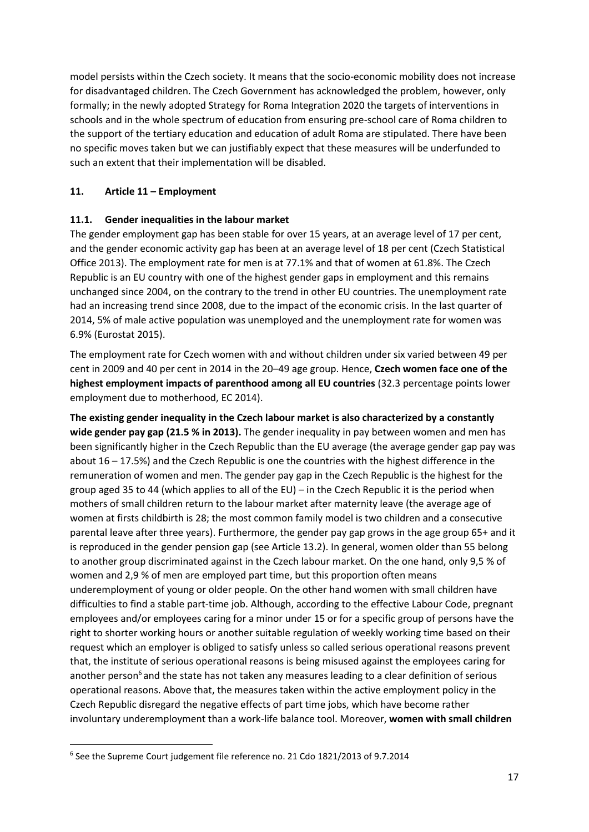model persists within the Czech society. It means that the socio-economic mobility does not increase for disadvantaged children. The Czech Government has acknowledged the problem, however, only formally; in the newly adopted Strategy for Roma Integration 2020 the targets of interventions in schools and in the whole spectrum of education from ensuring pre-school care of Roma children to the support of the tertiary education and education of adult Roma are stipulated. There have been no specific moves taken but we can justifiably expect that these measures will be underfunded to such an extent that their implementation will be disabled.

## <span id="page-16-0"></span>**11. Article 11 – Employment**

## <span id="page-16-1"></span>**11.1. Gender inequalities in the labour market**

The gender employment gap has been stable for over 15 years, at an average level of 17 per cent, and the gender economic activity gap has been at an average level of 18 per cent (Czech Statistical Office 2013). The employment rate for men is at 77.1% and that of women at 61.8%. The Czech Republic is an EU country with one of the highest gender gaps in employment and this remains unchanged since 2004, on the contrary to the trend in other EU countries. The unemployment rate had an increasing trend since 2008, due to the impact of the economic crisis. In the last quarter of 2014, 5% of male active population was unemployed and the unemployment rate for women was 6.9% (Eurostat 2015).

The employment rate for Czech women with and without children under six varied between 49 per cent in 2009 and 40 per cent in 2014 in the 20–49 age group. Hence, **Czech women face one of the highest employment impacts of parenthood among all EU countries** (32.3 percentage points lower employment due to motherhood, EC 2014).

**The existing gender inequality in the Czech labour market is also characterized by a constantly wide gender pay gap (21.5 % in 2013).** The gender inequality in pay between women and men has been significantly higher in the Czech Republic than the EU average (the average gender gap pay was about 16 – 17.5%) and the Czech Republic is one the countries with the highest difference in the remuneration of women and men. The gender pay gap in the Czech Republic is the highest for the group aged 35 to 44 (which applies to all of the EU) – in the Czech Republic it is the period when mothers of small children return to the labour market after maternity leave (the average age of women at firsts childbirth is 28; the most common family model is two children and a consecutive parental leave after three years). Furthermore, the gender pay gap grows in the age group 65+ and it is reproduced in the gender pension gap (see Article 13.2). In general, women older than 55 belong to another group discriminated against in the Czech labour market. On the one hand, only 9,5 % of women and 2,9 % of men are employed part time, but this proportion often means underemployment of young or older people. On the other hand women with small children have difficulties to find a stable part-time job. Although, according to the effective Labour Code, pregnant employees and/or employees caring for a minor under 15 or for a specific group of persons have the right to shorter working hours or another suitable regulation of weekly working time based on their request which an employer is obliged to satisfy unless so called serious operational reasons prevent that, the institute of serious operational reasons is being misused against the employees caring for another person<sup>6</sup> and the state has not taken any measures leading to a clear definition of serious operational reasons. Above that, the measures taken within the active employment policy in the Czech Republic disregard the negative effects of part time jobs, which have become rather involuntary underemployment than a work-life balance tool. Moreover, **women with small children**

<sup>&</sup>lt;sup>6</sup> See the Supreme Court judgement file reference no. 21 Cdo 1821/2013 of 9.7.2014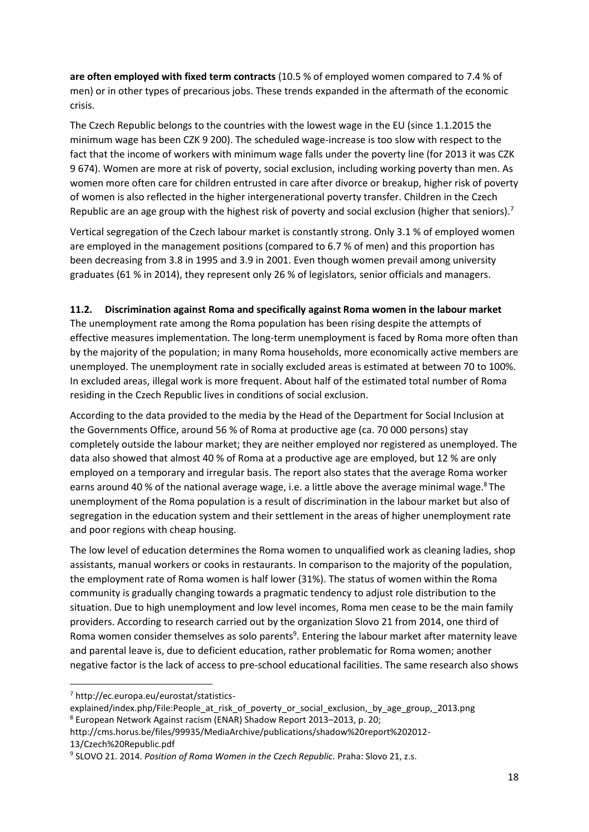**are often employed with fixed term contracts** (10.5 % of employed women compared to 7.4 % of men) or in other types of precarious jobs. These trends expanded in the aftermath of the economic crisis.

The Czech Republic belongs to the countries with the lowest wage in the EU (since 1.1.2015 the minimum wage has been CZK 9 200). The scheduled wage-increase is too slow with respect to the fact that the income of workers with minimum wage falls under the poverty line (for 2013 it was CZK 9 674). Women are more at risk of poverty, social exclusion, including working poverty than men. As women more often care for children entrusted in care after divorce or breakup, higher risk of poverty of women is also reflected in the higher intergenerational poverty transfer. Children in the Czech Republic are an age group with the highest risk of poverty and social exclusion (higher that seniors).<sup>7</sup>

Vertical segregation of the Czech labour market is constantly strong. Only 3.1 % of employed women are employed in the management positions (compared to 6.7 % of men) and this proportion has been decreasing from 3.8 in 1995 and 3.9 in 2001. Even though women prevail among university graduates (61 % in 2014), they represent only 26 % of legislators, senior officials and managers.

## <span id="page-17-0"></span>**11.2. Discrimination against Roma and specifically against Roma women in the labour market**

The unemployment rate among the Roma population has been rising despite the attempts of effective measures implementation. The long-term unemployment is faced by Roma more often than by the majority of the population; in many Roma households, more economically active members are unemployed. The unemployment rate in socially excluded areas is estimated at between 70 to 100%. In excluded areas, illegal work is more frequent. About half of the estimated total number of Roma residing in the Czech Republic lives in conditions of social exclusion.

According to the data provided to the media by the Head of the Department for Social Inclusion at the Governments Office, around 56 % of Roma at productive age (ca. 70 000 persons) stay completely outside the labour market; they are neither employed nor registered as unemployed. The data also showed that almost 40 % of Roma at a productive age are employed, but 12 % are only employed on a temporary and irregular basis. The report also states that the average Roma worker earns around 40 % of the national average wage, i.e. a little above the average minimal wage. <sup>8</sup> The unemployment of the Roma population is a result of discrimination in the labour market but also of segregation in the education system and their settlement in the areas of higher unemployment rate and poor regions with cheap housing.

The low level of education determines the Roma women to unqualified work as cleaning ladies, shop assistants, manual workers or cooks in restaurants. In comparison to the majority of the population, the employment rate of Roma women is half lower (31%). The status of women within the Roma community is gradually changing towards a pragmatic tendency to adjust role distribution to the situation. Due to high unemployment and low level incomes, Roma men cease to be the main family providers. According to research carried out by the organization Slovo 21 from 2014, one third of Roma women consider themselves as solo parents<sup>9</sup>. Entering the labour market after maternity leave and parental leave is, due to deficient education, rather problematic for Roma women; another negative factor is the lack of access to pre-school educational facilities. The same research also shows

<sup>7</sup> http://ec.europa.eu/eurostat/statistics-

explained/index.php/File:People at risk of poverty or social exclusion, by age group, 2013.png <sup>8</sup> European Network Against racism (ENAR) Shadow Report 2013–2013, p. 20;

http://cms.horus.be/files/99935/MediaArchive/publications/shadow%20report%202012- 13/Czech%20Republic.pdf

<sup>&</sup>lt;sup>9</sup> SLOVO 21. 2014. *Position of Roma Women in the Czech Republic.* Praha: Slovo 21, z.s.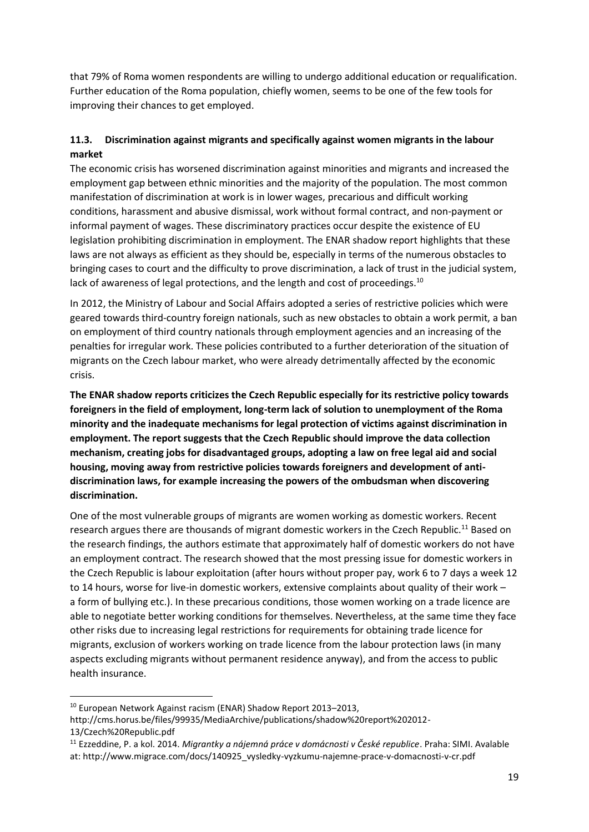that 79% of Roma women respondents are willing to undergo additional education or requalification. Further education of the Roma population, chiefly women, seems to be one of the few tools for improving their chances to get employed.

## <span id="page-18-0"></span>**11.3. Discrimination against migrants and specifically against women migrants in the labour market**

The economic crisis has worsened discrimination against minorities and migrants and increased the employment gap between ethnic minorities and the majority of the population. The most common manifestation of discrimination at work is in lower wages, precarious and difficult working conditions, harassment and abusive dismissal, work without formal contract, and non-payment or informal payment of wages. These discriminatory practices occur despite the existence of EU legislation prohibiting discrimination in employment. The ENAR shadow report highlights that these laws are not always as efficient as they should be, especially in terms of the numerous obstacles to bringing cases to court and the difficulty to prove discrimination, a lack of trust in the judicial system, lack of awareness of legal protections, and the length and cost of proceedings.<sup>10</sup>

In 2012, the Ministry of Labour and Social Affairs adopted a series of restrictive policies which were geared towards third-country foreign nationals, such as new obstacles to obtain a work permit, a ban on employment of third country nationals through employment agencies and an increasing of the penalties for irregular work. These policies contributed to a further deterioration of the situation of migrants on the Czech labour market, who were already detrimentally affected by the economic crisis.

**The ENAR shadow reports criticizes the Czech Republic especially for its restrictive policy towards foreigners in the field of employment, long-term lack of solution to unemployment of the Roma minority and the inadequate mechanisms for legal protection of victims against discrimination in employment. The report suggests that the Czech Republic should improve the data collection mechanism, creating jobs for disadvantaged groups, adopting a law on free legal aid and social housing, moving away from restrictive policies towards foreigners and development of antidiscrimination laws, for example increasing the powers of the ombudsman when discovering discrimination.** 

One of the most vulnerable groups of migrants are women working as domestic workers. Recent research argues there are thousands of migrant domestic workers in the Czech Republic.<sup>11</sup> Based on the research findings, the authors estimate that approximately half of domestic workers do not have an employment contract. The research showed that the most pressing issue for domestic workers in the Czech Republic is labour exploitation (after hours without proper pay, work 6 to 7 days a week 12 to 14 hours, worse for live-in domestic workers, extensive complaints about quality of their work – a form of bullying etc.). In these precarious conditions, those women working on a trade licence are able to negotiate better working conditions for themselves. Nevertheless, at the same time they face other risks due to increasing legal restrictions for requirements for obtaining trade licence for migrants, exclusion of workers working on trade licence from the labour protection laws (in many aspects excluding migrants without permanent residence anyway), and from the access to public health insurance.

<sup>&</sup>lt;sup>10</sup> European Network Against racism (ENAR) Shadow Report 2013-2013,

http://cms.horus.be/files/99935/MediaArchive/publications/shadow%20report%202012- 13/Czech%20Republic.pdf

<sup>11</sup> Ezzeddine, P. a kol. 2014. *Migrantky a nájemná práce v domácnosti v České republice*. Praha: SIMI. Avalable at: http://www.migrace.com/docs/140925\_vysledky-vyzkumu-najemne-prace-v-domacnosti-v-cr.pdf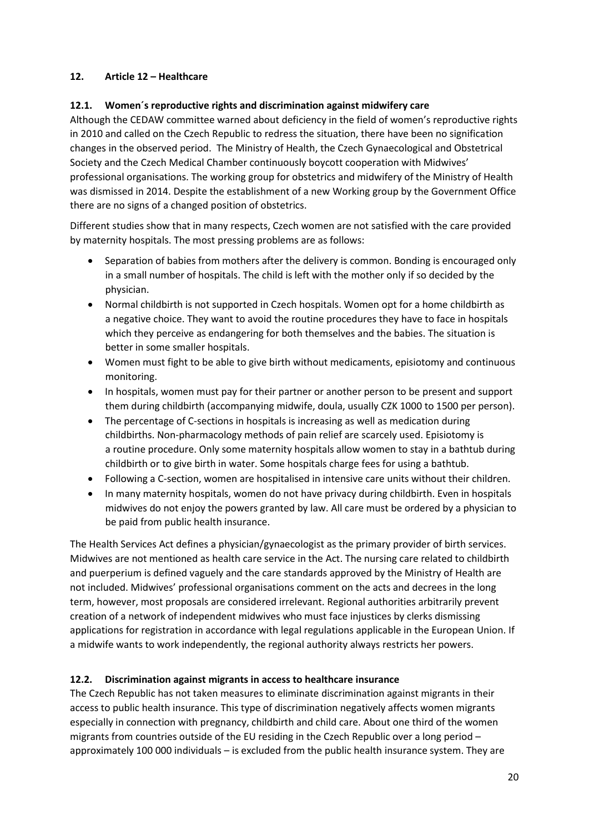## <span id="page-19-0"></span>**12. Article 12 – Healthcare**

#### <span id="page-19-1"></span>**12.1. Women´s reproductive rights and discrimination against midwifery care**

Although the CEDAW committee warned about deficiency in the field of women's reproductive rights in 2010 and called on the Czech Republic to redress the situation, there have been no signification changes in the observed period. The Ministry of Health, the Czech Gynaecological and Obstetrical Society and the Czech Medical Chamber continuously boycott cooperation with Midwives' professional organisations. The working group for obstetrics and midwifery of the Ministry of Health was dismissed in 2014. Despite the establishment of a new Working group by the Government Office there are no signs of a changed position of obstetrics.

Different studies show that in many respects, Czech women are not satisfied with the care provided by maternity hospitals. The most pressing problems are as follows:

- Separation of babies from mothers after the delivery is common. Bonding is encouraged only in a small number of hospitals. The child is left with the mother only if so decided by the physician.
- Normal childbirth is not supported in Czech hospitals. Women opt for a home childbirth as a negative choice. They want to avoid the routine procedures they have to face in hospitals which they perceive as endangering for both themselves and the babies. The situation is better in some smaller hospitals.
- Women must fight to be able to give birth without medicaments, episiotomy and continuous monitoring.
- In hospitals, women must pay for their partner or another person to be present and support them during childbirth (accompanying midwife, doula, usually CZK 1000 to 1500 per person).
- The percentage of C-sections in hospitals is increasing as well as medication during childbirths. Non-pharmacology methods of pain relief are scarcely used. Episiotomy is a routine procedure. Only some maternity hospitals allow women to stay in a bathtub during childbirth or to give birth in water. Some hospitals charge fees for using a bathtub.
- Following a C-section, women are hospitalised in intensive care units without their children.
- In many maternity hospitals, women do not have privacy during childbirth. Even in hospitals midwives do not enjoy the powers granted by law. All care must be ordered by a physician to be paid from public health insurance.

The Health Services Act defines a physician/gynaecologist as the primary provider of birth services. Midwives are not mentioned as health care service in the Act. The nursing care related to childbirth and puerperium is defined vaguely and the care standards approved by the Ministry of Health are not included. Midwives' professional organisations comment on the acts and decrees in the long term, however, most proposals are considered irrelevant. Regional authorities arbitrarily prevent creation of a network of independent midwives who must face injustices by clerks dismissing applications for registration in accordance with legal regulations applicable in the European Union. If a midwife wants to work independently, the regional authority always restricts her powers.

#### <span id="page-19-2"></span>**12.2. Discrimination against migrants in access to healthcare insurance**

The Czech Republic has not taken measures to eliminate discrimination against migrants in their access to public health insurance. This type of discrimination negatively affects women migrants especially in connection with pregnancy, childbirth and child care. About one third of the women migrants from countries outside of the EU residing in the Czech Republic over a long period – approximately 100 000 individuals – is excluded from the public health insurance system. They are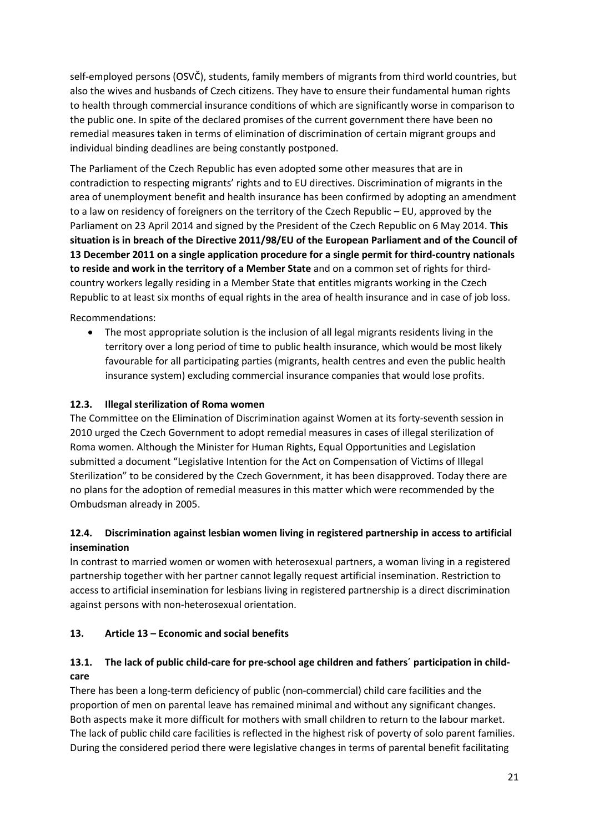self-employed persons (OSVČ), students, family members of migrants from third world countries, but also the wives and husbands of Czech citizens. They have to ensure their fundamental human rights to health through commercial insurance conditions of which are significantly worse in comparison to the public one. In spite of the declared promises of the current government there have been no remedial measures taken in terms of elimination of discrimination of certain migrant groups and individual binding deadlines are being constantly postponed.

The Parliament of the Czech Republic has even adopted some other measures that are in contradiction to respecting migrants' rights and to EU directives. Discrimination of migrants in the area of unemployment benefit and health insurance has been confirmed by adopting an amendment to a law on residency of foreigners on the territory of the Czech Republic – EU, approved by the Parliament on 23 April 2014 and signed by the President of the Czech Republic on 6 May 2014. **This situation is in breach of the Directive 2011/98/EU of the European Parliament and of the Council of 13 December 2011 on a single application procedure for a single permit for third-country nationals to reside and work in the territory of a Member State** and on a common set of rights for thirdcountry workers legally residing in a Member State that entitles migrants working in the Czech Republic to at least six months of equal rights in the area of health insurance and in case of job loss.

Recommendations:

 The most appropriate solution is the inclusion of all legal migrants residents living in the territory over a long period of time to public health insurance, which would be most likely favourable for all participating parties (migrants, health centres and even the public health insurance system) excluding commercial insurance companies that would lose profits.

## <span id="page-20-0"></span>**12.3. Illegal sterilization of Roma women**

The Committee on the Elimination of Discrimination against Women at its forty-seventh session in 2010 urged the Czech Government to adopt remedial measures in cases of illegal sterilization of Roma women. Although the Minister for Human Rights, Equal Opportunities and Legislation submitted a document "Legislative Intention for the Act on Compensation of Victims of Illegal Sterilization" to be considered by the Czech Government, it has been disapproved. Today there are no plans for the adoption of remedial measures in this matter which were recommended by the Ombudsman already in 2005.

## <span id="page-20-1"></span>**12.4. Discrimination against lesbian women living in registered partnership in access to artificial insemination**

In contrast to married women or women with heterosexual partners, a woman living in a registered partnership together with her partner cannot legally request artificial insemination. Restriction to access to artificial insemination for lesbians living in registered partnership is a direct discrimination against persons with non-heterosexual orientation.

#### <span id="page-20-2"></span>**13. Article 13 – Economic and social benefits**

# <span id="page-20-3"></span>**13.1. The lack of public child-care for pre-school age children and fathers´ participation in childcare**

There has been a long-term deficiency of public (non-commercial) child care facilities and the proportion of men on parental leave has remained minimal and without any significant changes. Both aspects make it more difficult for mothers with small children to return to the labour market. The lack of public child care facilities is reflected in the highest risk of poverty of solo parent families. During the considered period there were legislative changes in terms of parental benefit facilitating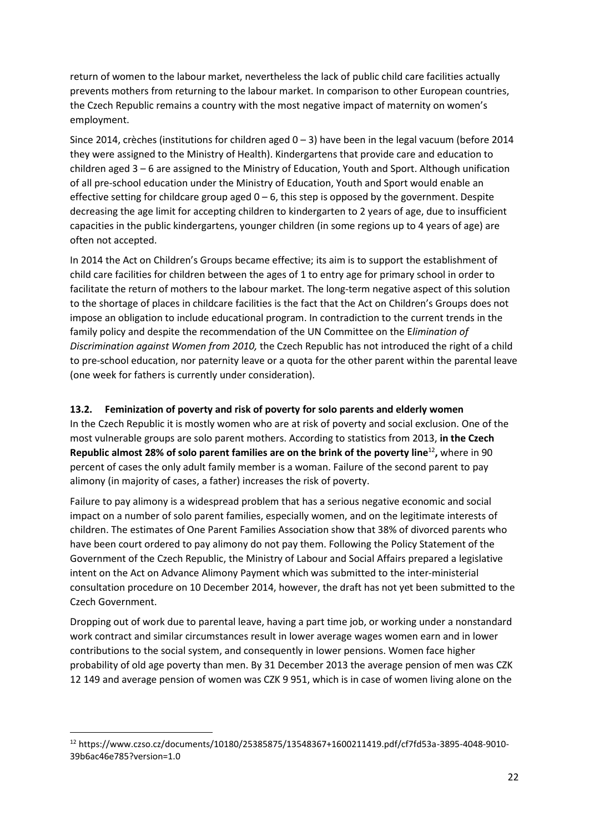return of women to the labour market, nevertheless the lack of public child care facilities actually prevents mothers from returning to the labour market. In comparison to other European countries, the Czech Republic remains a country with the most negative impact of maternity on women's employment.

Since 2014, crèches (institutions for children aged 0 – 3) have been in the legal vacuum (before 2014 they were assigned to the Ministry of Health). Kindergartens that provide care and education to children aged 3 – 6 are assigned to the Ministry of Education, Youth and Sport. Although unification of all pre-school education under the Ministry of Education, Youth and Sport would enable an effective setting for childcare group aged  $0 - 6$ , this step is opposed by the government. Despite decreasing the age limit for accepting children to kindergarten to 2 years of age, due to insufficient capacities in the public kindergartens, younger children (in some regions up to 4 years of age) are often not accepted.

In 2014 the Act on Children's Groups became effective; its aim is to support the establishment of child care facilities for children between the ages of 1 to entry age for primary school in order to facilitate the return of mothers to the labour market. The long-term negative aspect of this solution to the shortage of places in childcare facilities is the fact that the Act on Children's Groups does not impose an obligation to include educational program. In contradiction to the current trends in the family policy and despite the recommendation of the UN Committee on the E*limination of Discrimination against Women from 2010,* the Czech Republic has not introduced the right of a child to pre-school education, nor paternity leave or a quota for the other parent within the parental leave (one week for fathers is currently under consideration).

#### <span id="page-21-0"></span>**13.2. Feminization of poverty and risk of poverty for solo parents and elderly women**

In the Czech Republic it is mostly women who are at risk of poverty and social exclusion. One of the most vulnerable groups are solo parent mothers. According to statistics from 2013, **in the Czech Republic almost 28% of solo parent families are on the brink of the poverty line**<sup>12</sup> **,** where in 90 percent of cases the only adult family member is a woman. Failure of the second parent to pay alimony (in majority of cases, a father) increases the risk of poverty.

Failure to pay alimony is a widespread problem that has a serious negative economic and social impact on a number of solo parent families, especially women, and on the legitimate interests of children. The estimates of One Parent Families Association show that 38% of divorced parents who have been court ordered to pay alimony do not pay them. Following the Policy Statement of the Government of the Czech Republic, the Ministry of Labour and Social Affairs prepared a legislative intent on the Act on Advance Alimony Payment which was submitted to the inter-ministerial consultation procedure on 10 December 2014, however, the draft has not yet been submitted to the Czech Government.

Dropping out of work due to parental leave, having a part time job, or working under a nonstandard work contract and similar circumstances result in lower average wages women earn and in lower contributions to the social system, and consequently in lower pensions. Women face higher probability of old age poverty than men. By 31 December 2013 the average pension of men was CZK 12 149 and average pension of women was CZK 9 951, which is in case of women living alone on the

1

<sup>12</sup> https://www.czso.cz/documents/10180/25385875/13548367+1600211419.pdf/cf7fd53a-3895-4048-9010- 39b6ac46e785?version=1.0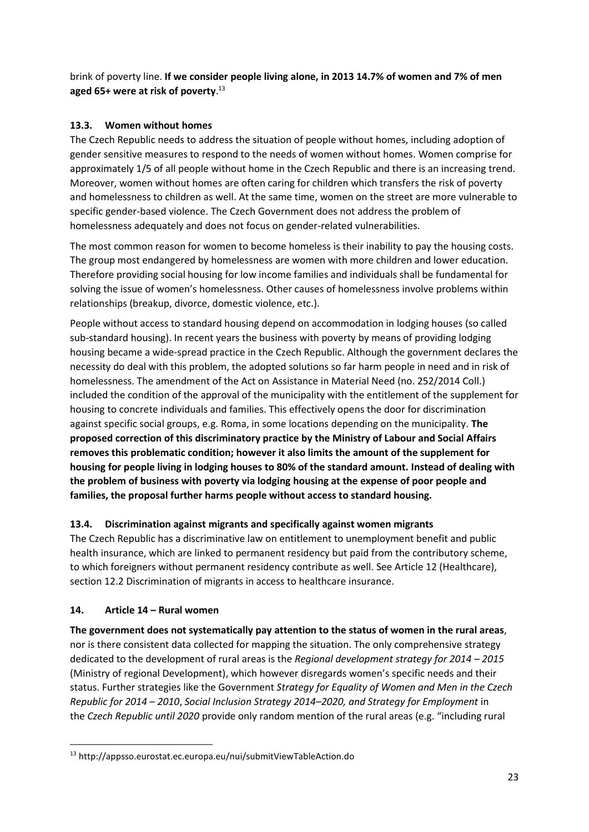brink of poverty line. **If we consider people living alone, in 2013 14.7% of women and 7% of men aged 65+ were at risk of poverty**. 13

# <span id="page-22-0"></span>**13.3. Women without homes**

The Czech Republic needs to address the situation of people without homes, including adoption of gender sensitive measures to respond to the needs of women without homes. Women comprise for approximately 1/5 of all people without home in the Czech Republic and there is an increasing trend. Moreover, women without homes are often caring for children which transfers the risk of poverty and homelessness to children as well. At the same time, women on the street are more vulnerable to specific gender-based violence. The Czech Government does not address the problem of homelessness adequately and does not focus on gender-related vulnerabilities.

The most common reason for women to become homeless is their inability to pay the housing costs. The group most endangered by homelessness are women with more children and lower education. Therefore providing social housing for low income families and individuals shall be fundamental for solving the issue of women's homelessness. Other causes of homelessness involve problems within relationships (breakup, divorce, domestic violence, etc.).

People without access to standard housing depend on accommodation in lodging houses (so called sub-standard housing). In recent years the business with poverty by means of providing lodging housing became a wide-spread practice in the Czech Republic. Although the government declares the necessity do deal with this problem, the adopted solutions so far harm people in need and in risk of homelessness. The amendment of the Act on Assistance in Material Need (no. 252/2014 Coll.) included the condition of the approval of the municipality with the entitlement of the supplement for housing to concrete individuals and families. This effectively opens the door for discrimination against specific social groups, e.g. Roma, in some locations depending on the municipality. **The proposed correction of this discriminatory practice by the Ministry of Labour and Social Affairs removes this problematic condition; however it also limits the amount of the supplement for housing for people living in lodging houses to 80% of the standard amount. Instead of dealing with the problem of business with poverty via lodging housing at the expense of poor people and families, the proposal further harms people without access to standard housing.**

# <span id="page-22-1"></span>**13.4. Discrimination against migrants and specifically against women migrants**

The Czech Republic has a discriminative law on entitlement to unemployment benefit and public health insurance, which are linked to permanent residency but paid from the contributory scheme, to which foreigners without permanent residency contribute as well. See Article 12 (Healthcare), section 12.2 Discrimination of migrants in access to healthcare insurance.

## <span id="page-22-2"></span>**14. Article 14 – Rural women**

**The government does not systematically pay attention to the status of women in the rural areas**, nor is there consistent data collected for mapping the situation. The only comprehensive strategy dedicated to the development of rural areas is the *Regional development strategy for 2014 – 2015* (Ministry of regional Development), which however disregards women's specific needs and their status. Further strategies like the Government *Strategy for Equality of Women and Men in the Czech Republic for 2014 – 2010*, *Social Inclusion Strategy 2014–2020, and Strategy for Employment* in the *Czech Republic until 2020* provide only random mention of the rural areas (e.g. "including rural

**<sup>.</sup>** <sup>13</sup> http://appsso.eurostat.ec.europa.eu/nui/submitViewTableAction.do